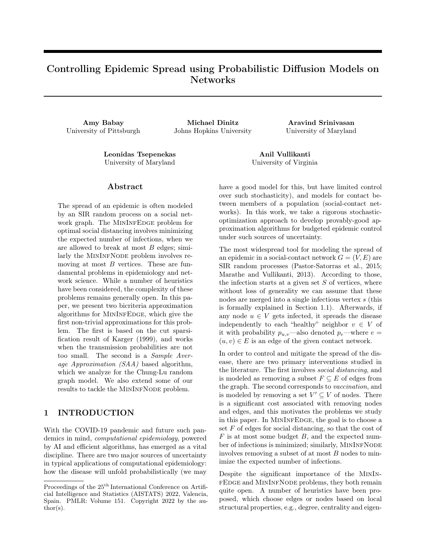# Controlling Epidemic Spread using Probabilistic Diffusion Models on Networks

Amy Babay Michael Dinitz Aravind Srinivasan University of Pittsburgh Johns Hopkins University University of Maryland

Leonidas Tsepenekas Anil Vullikanti University of Maryland University of Virginia

#### Abstract

The spread of an epidemic is often modeled by an SIR random process on a social network graph. The MININFEDGE problem for optimal social distancing involves minimizing the expected number of infections, when we are allowed to break at most  $B$  edges; similarly the MININFNODE problem involves removing at most  $B$  vertices. These are fundamental problems in epidemiology and network science. While a number of heuristics have been considered, the complexity of these problems remains generally open. In this paper, we present two bicriteria approximation algorithms for MININFEDGE, which give the first non-trivial approximations for this problem. The first is based on the cut sparsification result of [Karger](#page-9-0) [\(1999\)](#page-9-0), and works when the transmission probabilities are not too small. The second is a Sample Average Approximation (SAA) based algorithm, which we analyze for the Chung-Lu random graph model. We also extend some of our results to tackle the MININFNODE problem.

### <span id="page-0-0"></span>1 INTRODUCTION

With the COVID-19 pandemic and future such pandemics in mind, computational epidemiology, powered by AI and efficient algorithms, has emerged as a vital discipline. There are two major sources of uncertainty in typical applications of computational epidemiology: how the disease will unfold probabilistically (we may

have a good model for this, but have limited control over such stochasticity), and models for contact between members of a population (social-contact networks). In this work, we take a rigorous stochasticoptimization approach to develop provably-good approximation algorithms for budgeted epidemic control under such sources of uncertainty.

The most widespread tool for modeling the spread of an epidemic in a social-contact network  $G = (V, E)$  are SIR random processes [\(Pastor-Satorras et al., 2015;](#page-9-1) [Marathe and Vullikanti, 2013\)](#page-9-2). According to those, the infection starts at a given set  $S$  of vertices, where without loss of generality we can assume that these nodes are merged into a single infectious vertex s (this is formally explained in Section [1.1\)](#page-1-0). Afterwards, if any node  $u \in V$  gets infected, it spreads the disease independently to each "healthy" neighbor  $v \in V$  of it with probability  $p_{u,v}$ —also denoted  $p_e$ —where  $e =$  $(u, v) \in E$  is an edge of the given contact network.

In order to control and mitigate the spread of the disease, there are two primary interventions studied in the literature. The first involves social distancing, and is modeled as removing a subset  $F \subseteq E$  of edges from the graph. The second corresponds to vaccination, and is modeled by removing a set  $V' \subseteq V$  of nodes. There is a significant cost associated with removing nodes and edges, and this motivates the problems we study in this paper. In MININFEDGE, the goal is to choose a set  $F$  of edges for social distancing, so that the cost of  $F$  is at most some budget  $B$ , and the expected number of infections is minimized; similarly, MININFNODE involves removing a subset of at most  $B$  nodes to minimize the expected number of infections.

Despite the significant importance of the MinIn-FEDGE and MININFNODE problems, they both remain quite open. A number of heuristics have been proposed, which choose edges or nodes based on local structural properties, e.g., degree, centrality and eigen-

Proceedings of the  $25<sup>th</sup>$  International Conference on Artificial Intelligence and Statistics (AISTATS) 2022, Valencia, Spain. PMLR: Volume 151. Copyright 2022 by the au- $\text{thor}(s)$ .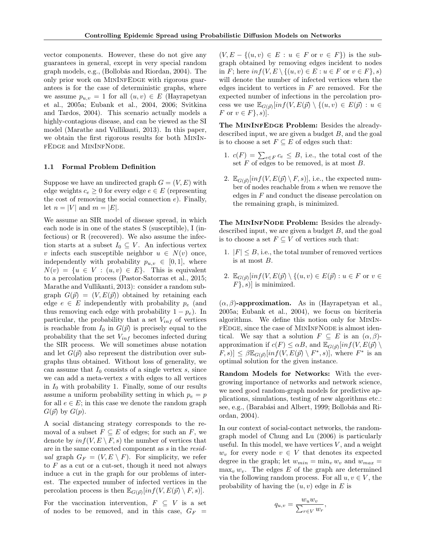vector components. However, these do not give any guarantees in general, except in very special random graph models, e.g., [\(Bollobás and Riordan, 2004\)](#page-9-3). The only prior work on MININFEDGE with rigorous guarantees is for the case of deterministic graphs, where we assume  $p_{u,v} = 1$  for all  $(u, v) \in E$  [\(Hayrapetyan](#page-9-4) [et al., 2005a;](#page-9-4) [Eubank et al., 2004,](#page-9-5) [2006;](#page-9-6) [Svitkina](#page-10-0) [and Tardos, 2004\)](#page-10-0). This scenario actually models a highly-contagious disease, and can be viewed as the SI model [\(Marathe and Vullikanti, 2013\)](#page-9-2). In this paper, we obtain the first rigorous results for both MinInfEdge and MinInfNode.

#### <span id="page-1-0"></span>1.1 Formal Problem Definition

Suppose we have an undirected graph  $G = (V, E)$  with edge weights  $c_e \geq 0$  for every edge  $e \in E$  (representing the cost of removing the social connection  $e$ ). Finally, let  $n = |V|$  and  $m = |E|$ .

We assume an SIR model of disease spread, in which each node is in one of the states S (susceptible), I (infectious) or R (recovered). We also assume the infection starts at a subset  $I_0 \subseteq V$ . An infectious vertex v infects each susceptible neighbor  $u \in N(v)$  once, independently with probability  $p_{u,v} \in [0,1]$ , where  $N(v) = \{u \in V : (u, v) \in E\}.$  This is equivalent to a percolation process [\(Pastor-Satorras et al., 2015;](#page-9-1) [Marathe and Vullikanti, 2013\)](#page-9-2): consider a random subgraph  $G(\vec{p}) = (V, E(\vec{p}))$  obtained by retaining each edge  $e \in E$  independently with probability  $p_e$  (and thus removing each edge with probability  $1 - p_e$ ). In particular, the probability that a set  $V_{inf}$  of vertices is reachable from  $I_0$  in  $G(\vec{p})$  is precisely equal to the probability that the set  $V_{inf}$  becomes infected during the SIR process. We will sometimes abuse notation and let  $G(\vec{p})$  also represent the distribution over subgraphs thus obtained. Without loss of generality, we can assume that  $I_0$  consists of a single vertex s, since we can add a meta-vertex s with edges to all vertices in  $I_0$  with probability 1. Finally, some of our results assume a uniform probability setting in which  $p_e = p$ for all  $e \in E$ ; in this case we denote the random graph  $G(\vec{p})$  by  $G(p)$ .

A social distancing strategy corresponds to the removal of a subset  $F \subseteq E$  of edges; for such an F, we denote by  $inf(V, E \setminus F, s)$  the number of vertices that are in the same connected component as s in the residual graph  $G_F = (V, E \setminus F)$ . For simplicity, we refer to  $F$  as a cut or a cut-set, though it need not always induce a cut in the graph for our problems of interest. The expected number of infected vertices in the percolation process is then  $\mathbb{E}_{G(\vec{p})}[inf(V,E(\vec{p}) \setminus F,s)].$ 

For the vaccination intervention,  $F \subseteq V$  is a set of nodes to be removed, and in this case,  $G_F$  =  $(V, E - \{(u, v) \in E : u \in F \text{ or } v \in F\})$  is the subgraph obtained by removing edges incident to nodes in F; here  $inf(V, E \setminus \{(u, v) \in E : u \in F \text{ or } v \in F\}, s)$ will denote the number of infected vertices when the edges incident to vertices in  $F$  are removed. For the expected number of infections in the percolation process we use  $\mathbb{E}_{G(\vec{p})}[inf(V,E(\vec{p}) \setminus \{(u,v) \in E(\vec{p}) : u \in$ F or  $v \in F$ , s).

The MININFEDGE Problem: Besides the alreadydescribed input, we are given a budget  $B$ , and the goal is to choose a set  $F \subseteq E$  of edges such that:

- 1.  $c(F) = \sum_{e \in F} c_e \leq B$ , i.e., the total cost of the set  $F$  of edges to be removed, is at most  $B$ .
- 2.  $\mathbb{E}_{G(\vec{p})}[inf(V,E(\vec{p})\setminus F,s)],$  i.e., the expected number of nodes reachable from s when we remove the edges in  $F$  and conduct the disease percolation on the remaining graph, is minimized.

The MININFNODE Problem: Besides the alreadydescribed input, we are given a budget  $B$ , and the goal is to choose a set  $F \subseteq V$  of vertices such that:

- 1.  $|F| \leq B$ , i.e., the total number of removed vertices is at most B.
- 2.  $\mathbb{E}_{G(\vec{p})}[inf(V,E(\vec{p}) \setminus \{(u,v) \in E(\vec{p}) : u \in F \text{ or } v \in$  $F\}$ , s) is minimized.

 $(\alpha, \beta)$ -approximation. As in [\(Hayrapetyan et al.,](#page-9-4) [2005a;](#page-9-4) [Eubank et al., 2004\)](#page-9-5), we focus on bicriteria algorithms. We define this notion only for MinIn-FEDGE, since the case of MININFNODE is almost identical. We say that a solution  $F \subseteq E$  is an  $(\alpha, \beta)$ approximation if  $c(F) \leq \alpha B$ , and  $\mathbb{E}_{G(\vec{p})}[inf(V,E(\vec{p})])$  $[F, s] \leq \beta \mathbb{E}_{G(\vec{p})}[inf(V, E(\vec{p}) \setminus F^*, s)],$  where  $F^*$  is an optimal solution for the given instance.

Random Models for Networks: With the evergrowing importance of networks and network science, we need good random-graph models for predictive applications, simulations, testing of new algorithms etc.: see, e.g., [\(Barabási and Albert, 1999;](#page-9-7) [Bollobás and Ri](#page-9-3)[ordan, 2004\)](#page-9-3).

In our context of social-contact networks, the randomgraph model of [Chung and Lu](#page-9-8) [\(2006\)](#page-9-8) is particularly useful. In this model, we have vertices  $V$ , and a weight  $w_v$  for every node  $v \in V$  that denotes its expected degree in the graph; let  $w_{min} = \min_v w_v$  and  $w_{max} =$  $\max_v w_v$ . The edges E of the graph are determined via the following random process. For all  $u, v \in V$ , the probability of having the  $(u, v)$  edge in E is

$$
q_{u,v} = \frac{w_u w_v}{\sum_{r \in V} w_r},
$$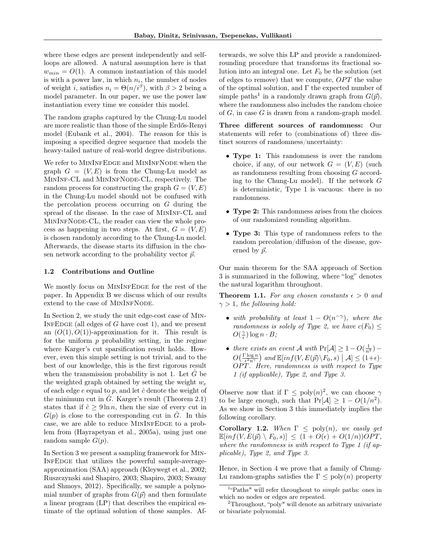where these edges are present independently and selfloops are allowed. A natural assumption here is that  $w_{min} = O(1)$ . A common instantiation of this model is with a power law, in which  $n_i$ , the number of nodes of weight *i*, satisfies  $n_i = \Theta(n/i^{\beta})$ , with  $\beta > 2$  being a model parameter. In our paper, we use the power law instantiation every time we consider this model.

The random graphs captured by the Chung-Lu model are more realistic than those of the simple Erdős-Renyi model [\(Eubank et al., 2004\)](#page-9-5). The reason for this is imposing a specified degree sequence that models the heavy-tailed nature of real-world degree distributions.

We refer to MININFEDGE and MININFNODE when the graph  $G = (V, E)$  is from the Chung-Lu model as MinInf-CL and MinInfNode-CL, respectively. The random process for constructing the graph  $G = (V, E)$ in the Chung-Lu model should not be confused with the percolation process occurring on  $G$  during the spread of the disease. In the case of MinInf-CL and MinInfNode-CL, the reader can view the whole process as happening in two steps. At first,  $G = (V, E)$ is chosen randomly according to the Chung-Lu model. Afterwards, the disease starts its diffusion in the chosen network according to the probability vector  $\vec{p}$ .

#### 1.2 Contributions and Outline

We mostly focus on MININFEDGE for the rest of the paper. In Appendix [B](#page-13-0) we discuss which of our results extend to the case of MININFNODE.

In Section [2,](#page-3-0) we study the unit edge-cost case of Min-INFEDGE (all edges of  $G$  have cost 1), and we present an  $(O(1), O(1))$ -approximation for it. This result is for the uniform  $p$  probability setting, in the regime where Karger's cut sparsification result holds. However, even this simple setting is not trivial, and to the best of our knowledge, this is the first rigorous result when the transmission probability is not 1. Let  $\tilde{G}$  be the weighted graph obtained by setting the weight  $w_e$ of each edge  $e$  equal to  $p$ , and let  $\hat{c}$  denote the weight of the minimum cut in  $\ddot{G}$ . Karger's result (Theorem [2.1\)](#page-3-1) states that if  $\hat{c} \geq 9 \ln n$ , then the size of every cut in  $G(p)$  is close to the corresponding cut in  $\tilde{G}$ . In this case, we are able to reduce MININFEDGE to a problem from [\(Hayrapetyan et al., 2005a\)](#page-9-4), using just one random sample  $G(p)$ .

In Section [3](#page-4-0) we present a sampling framework for Min-InfEdge that utilizes the powerful sample-averageapproximation (SAA) approach [\(Kleywegt et al., 2002;](#page-9-9) [Ruszczynski and Shapiro, 2003;](#page-9-10) [Shapiro, 2003;](#page-10-1) [Swamy](#page-10-2) [and Shmoys, 2012\)](#page-10-2). Specifically, we sample a polynomial number of graphs from  $G(\vec{p})$  and then formulate a linear program (LP) that describes the empirical estimate of the optimal solution of those samples. Afterwards, we solve this LP and provide a randomizedrounding procedure that transforms its fractional solution into an integral one. Let  $F_0$  be the solution (set of edges to remove) that we compute,  $OPT$  the value of the optimal solution, and  $\Gamma$  the expected number of simple paths<sup>[1](#page-2-0)</sup> in a randomly drawn graph from  $G(\vec{p})$ , where the randomness also includes the random choice of  $G$ , in case  $G$  is drawn from a random-graph model.

Three different sources of randomness: Our statements will refer to (combinations of) three distinct sources of randomness/uncertainty:

- Type 1: This randomness is over the random choice, if any, of our network  $G = (V, E)$  (such as randomness resulting from choosing G according to the Chung-Lu model). If the network G is deterministic, Type 1 is vacuous: there is no randomness.
- Type 2: This randomness arises from the choices of our randomized rounding algorithm.
- Type 3: This type of randomness refers to the random percolation/diffusion of the disease, governed by  $\vec{p}$ .

Our main theorem for the SAA approach of Section [3](#page-4-0) is summarized in the following, where "log" denotes the natural logarithm throughout.

<span id="page-2-2"></span>**Theorem 1.1.** For any chosen constants  $\epsilon > 0$  and  $\gamma > 1$ , the following hold:

- with probability at least  $1 O(n^{-\gamma})$ , where the randomness is solely of Type 2, we have  $c(F_0) \leq$  $O(\frac{\gamma}{\epsilon})\log n \cdot B;$
- there exists an event A with  $Pr[\mathcal{A}] \geq 1 O(\frac{1}{n^2})$   $O\left(\frac{\Gamma \log n}{\epsilon^2 n^{\gamma}}\right)$  and  $\mathbb{E}[inf(V, E(\vec{p}) \setminus F_0, s) | \mathcal{A}] \leq (1+\epsilon) \cdot$  $OPT$ . Here, randomness is with respect to Type 1 (if applicable), Type 2, and Type 3.

Observe now that if  $\Gamma \leq \text{poly}(n)^2$  $\Gamma \leq \text{poly}(n)^2$ , we can choose  $\gamma$ to be large enough, such that  $Pr[\mathcal{A}] \geq 1 - O(1/n^2)$ . As we show in Section [3](#page-4-0) this immediately implies the following corollary.

Corollary 1.2. When  $\Gamma \leq \text{poly}(n)$ , we easily get  $\mathbb{E}[inf(V, E(\vec{p}) \setminus F_0, s)] \leq (1 + O(\epsilon) + O(1/n))OPT,$ where the randomness is with respect to Type 1 (if applicable), Type 2, and Type 3.

Hence, in Section [4](#page-6-0) we prove that a family of Chung-Lu random-graphs satisfies the  $\Gamma \leq \text{poly}(n)$  property

<span id="page-2-0"></span><sup>&</sup>lt;sup>1</sup>"Paths" will refer throughout to *simple* paths: ones in which no nodes or edges are repeated.

<span id="page-2-1"></span><sup>2</sup>Throughout, "poly" will denote an arbitrary univariate or bivariate polynomial.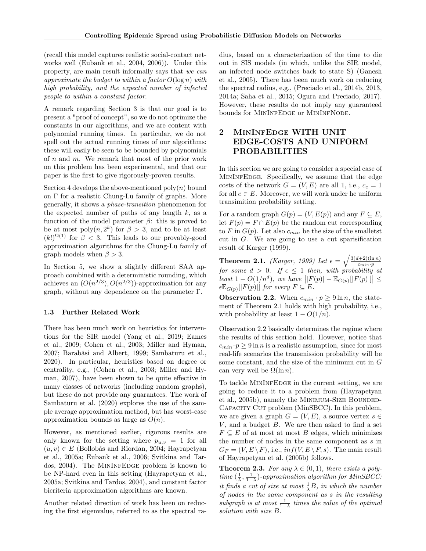(recall this model captures realistic social-contact networks well [\(Eubank et al., 2004,](#page-9-5) [2006\)](#page-9-6)). Under this property, are main result informally says that we can approximate the budget to within a factor  $O(\log n)$  with high probability, and the expected number of infected people to within a constant factor.

A remark regarding Section [3](#page-4-0) is that our goal is to present a "proof of concept", so we do not optimize the constants in our algorithms, and we are content with polynomial running times. In particular, we do not spell out the actual running times of our algorithms: these will easily be seen to be bounded by polynomials of  $n$  and  $m$ . We remark that most of the prior work on this problem has been experimental, and that our paper is the first to give rigorously-proven results.

Section [4](#page-6-0) develops the above-mentioned  $poly(n)$  bound on Γ for a realistic Chung-Lu family of graphs. More generally, it shows a phase-transition phenomenon for the expected number of paths of any length  $k$ , as a function of the model parameter  $\beta$ : this is proved to be at most  $\text{poly}(n, 2^k)$  for  $\beta > 3$ , and to be at least  $(k!)^{\Omega(1)}$  for  $\beta < 3$ . This leads to our provably-good approximation algorithms for the Chung-Lu family of graph models when  $\beta > 3$ .

In Section [5,](#page-8-0) we show a slightly different SAA approach combined with a deterministic rounding, which achieves an  $(O(n^{2/3}), O(n^{2/3}))$ -approximation for any graph, without any dependence on the parameter Γ.

### 1.3 Further Related Work

There has been much work on heuristics for interventions for the SIR model [\(Yang et al., 2019;](#page-10-3) [Eames](#page-9-11) [et al., 2009;](#page-9-11) [Cohen et al., 2003;](#page-9-12) [Miller and Hyman,](#page-9-13) [2007;](#page-9-13) [Barabási and Albert, 1999;](#page-9-7) [Sambaturu et al.,](#page-10-4) [2020\)](#page-10-4). In particular, heuristics based on degree or centrality, e.g., [\(Cohen et al., 2003;](#page-9-12) [Miller and Hy](#page-9-13)[man, 2007\)](#page-9-13), have been shown to be quite effective in many classes of networks (including random graphs), but these do not provide any guarantees. The work of [Sambaturu et al.](#page-10-4) [\(2020\)](#page-10-4) explores the use of the sample average approximation method, but has worst-case approximation bounds as large as  $O(n)$ .

However, as mentioned earlier, rigorous results are only known for the setting where  $p_{u,v} = 1$  for all  $(u, v) \in E$  [\(Bollobás and Riordan, 2004;](#page-9-3) [Hayrapetyan](#page-9-4) [et al., 2005a;](#page-9-4) [Eubank et al., 2006;](#page-9-6) [Svitkina and Tar](#page-10-0)[dos, 2004\)](#page-10-0). The MinInfEdge problem is known to be NP-hard even in this setting [\(Hayrapetyan et al.,](#page-9-4) [2005a;](#page-9-4) [Svitkina and Tardos, 2004\)](#page-10-0), and constant factor bicriteria approximation algorithms are known.

Another related direction of work has been on reducing the first eigenvalue, referred to as the spectral radius, based on a characterization of the time to die out in SIS models (in which, unlike the SIR model, an infected node switches back to state S) [\(Ganesh](#page-9-14) [et al., 2005\)](#page-9-14). There has been much work on reducing the spectral radius, e.g., [\(Preciado et al., 2014b,](#page-9-15) [2013,](#page-9-16) [2014a;](#page-9-17) [Saha et al., 2015;](#page-10-5) [Ogura and Preciado, 2017\)](#page-9-18). However, these results do not imply any guaranteed bounds for MININFEDGE or MININFNODE.

# <span id="page-3-0"></span>2 MinInfEdge WITH UNIT EDGE-COSTS AND UNIFORM PROBABILITIES

In this section we are going to consider a special case of MININFEDGE. Specifically, we assume that the edge costs of the network  $G = (V, E)$  are all 1, i.e.,  $c_e = 1$ for all  $e \in E$ . Moreover, we will work under he uniform transimition probability setting.

For a random graph  $G(p) = (V, E(p))$  and any  $F \subseteq E$ , let  $F(p) = F \cap E(p)$  be the random cut corresponding to F in  $G(p)$ . Let also  $c_{min}$  be the size of the smalletst cut in  $G$ . We are going to use a cut sparisification result of [Karger](#page-9-0) [\(1999\)](#page-9-0).

<span id="page-3-1"></span>**Theorem 2.1.** [\(Karger, 1999\)](#page-9-0) Let  $\epsilon = \sqrt{\frac{3(d+2)(\ln n)}{c_{min} \cdot p}}$  for some  $d > 0$ . If  $\epsilon \leq 1$  then, with probability at  $\left| \begin{array}{c} \text{least} \ 1 - O(1/n^d), \text{ we have } \left| |F(p)| - \mathbb{E}_{G(p)}[|F(p)|] \right| \leq \end{array} \right|$  $\epsilon \mathbb{E}_{G(p)}[|F(p)|]$  for every  $F \subseteq E$ .

<span id="page-3-2"></span>**Observation 2.2.** When  $c_{min} \cdot p \ge 9 \ln n$ , the statement of Theorem [2.1](#page-3-1) holds with high probability, i.e., with probability at least  $1 - O(1/n)$ .

Observation [2.2](#page-3-2) basically determines the regime where the results of this section hold. However, notice that  $c_{min} \cdot p \ge 9 \ln n$  is a realistic assumption, since for most real-life scenarios the transmission probability will be some constant, and the size of the minimum cut in  $G$ can very well be  $\Omega(\ln n)$ .

To tackle MININFEDGE in the current setting, we are going to reduce it to a problem from [\(Hayrapetyan](#page-9-19) [et al., 2005b\)](#page-9-19), namely the MINIMUM-SIZE BOUNDED-Capacity Cut problem (MinSBCC). In this problem, we are given a graph  $G = (V, E)$ , a source vertex  $s \in$  $V$ , and a budget  $B$ . We are then asked to find a set  $F \subseteq E$  of at most at most B edges, which minimizes the number of nodes in the same component as s in  $G_F = (V, E \backslash F)$ , i.e.,  $inf(V, E \backslash F, s)$ . The main result of [Hayrapetyan et al.](#page-9-19) [\(2005b\)](#page-9-19) follows.

<span id="page-3-3"></span>**Theorem 2.3.** For any  $\lambda \in (0,1)$ , there exists a polytime  $(\frac{1}{\lambda}, \frac{1}{1-\lambda})$ -approximation algorithm for MinSBCC: it finds a cut of size at most  $\frac{1}{\lambda}B$ , in which the number of nodes in the same component as s in the resulting subgraph is at most  $\frac{1}{1-\lambda}$  times the value of the optimal solution with size B.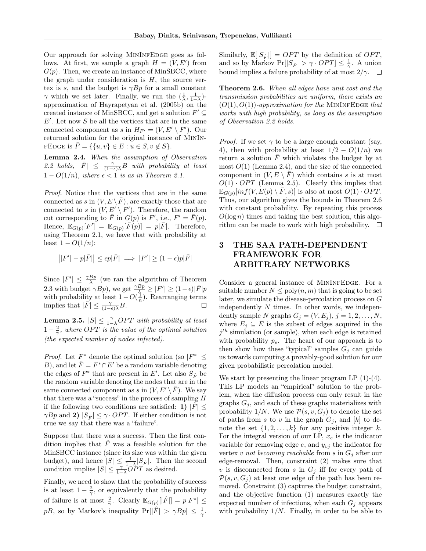Our approach for solving MININFEDGE goes as follows. At first, we sample a graph  $H = (V, E')$  from  $G(p)$ . Then, we create an instance of MinSBCC, where the graph under consideration is  $H$ , the source vertex is s, and the budget is  $\gamma B p$  for a small constant  $\gamma$  which we set later. Finally, we run the  $(\frac{1}{\lambda}, \frac{1}{1-\lambda})$ approximation of [Hayrapetyan et al.](#page-9-19) [\(2005b\)](#page-9-19) on the created instance of MinSBCC, and get a solution  $F' \subseteq$  $E'$ . Let now  $S$  be all the vertices that are in the same connected component as s in  $H_{F'} = (V, E' \setminus F')$ . Our returned solution for the original instance of MinIn-FEDGE is  $\overline{F} = \{\{u, v\} \in E : u \in S, v \notin S\}.$ 

<span id="page-4-1"></span>Lemma 2.4. When the assumption of Observation [2.2](#page-3-2) holds,  $|\bar{F}| \leq \frac{\gamma}{(1-\epsilon)\lambda}B$  with probability at least  $1 - O(1/n)$ , where  $\epsilon < 1$  is as in Theorem [2.1.](#page-3-1)

Proof. Notice that the vertices that are in the same connected as s in  $(V, E \setminus \overline{F})$ , are exactly those that are connected to s in  $(V, E' \setminus F')$ . Therefore, the random cut corresponding to  $\overline{F}$  in  $G(p)$  is  $F'$ , i.e.,  $F' = \overline{F}(p)$ . Hence,  $\mathbb{E}_{G(p)}[F'] = \mathbb{E}_{G(p)}[\overline{F(p)}] = p|\overline{F}|$ . Therefore, using Theorem [2.1,](#page-3-1) we have that with probability at least  $1 - O(1/n)$ :

$$
\big||F'|-p|\bar{F}|\big|\leq \epsilon p|\bar{F}|\implies |F'|\geq (1-\epsilon)p|\bar{F}|
$$

Since  $|F'| \leq \frac{\gamma B p}{\lambda}$  (we ran the algorithm of Theorem [2.3](#page-3-3) with budget  $\gamma B p$ , we get  $\frac{\gamma B p}{\lambda} \geq |F'| \geq (1 - \epsilon) |\bar{F}| p$ with probability at least  $1-O(\frac{1}{n})$ . Rearranging terms implies that  $|\overline{\overline{F}}| \leq \frac{\gamma}{(1-\epsilon)\lambda}B$ .  $\Box$ 

<span id="page-4-2"></span>**Lemma 2.5.**  $|S| \leq \frac{\gamma}{1-\lambda} OPT$  with probability at least  $1-\frac{2}{\gamma}$ , where OPT is the value of the optimal solution (the expected number of nodes infected).

*Proof.* Let  $F^*$  denote the optimal solution (so  $|F^*| \leq$ B), and let  $\hat{F} = F^* \cap E'$  be a random variable denoting the edges of  $F^*$  that are present in  $E'.$  Let also  $S_{\hat F}$  be the random variable denoting the nodes that are in the same connected component as s in  $(V, E' \setminus \hat{F})$ . We say that there was a "success" in the process of sampling  $H$ if the following two conditions are satisfied: 1)  $|F| \leq$  $\gamma B p$  and 2)  $|S_{\hat{F}}| \leq \gamma \cdot OPT$ . If either condition is not true we say that there was a "failure".

Suppose that there was a success. Then the first condition implies that  $\ddot{F}$  was a feasible solution for the MinSBCC instance (since its size was within the given budget), and hence  $|S| \leq \frac{1}{1-\lambda}|S_{\hat{F}}|$ . Then the second condition implies  $|S| \leq \frac{\gamma}{1-\lambda} OPT$  as desired.

Finally, we need to show that the probability of success is at least  $1 - \frac{2}{\gamma}$ , or equivalently that the probability of failure is at most  $\frac{2}{\gamma}$ . Clearly  $\mathbb{E}_{G(p)}[|\hat{F}|] = p|F^*| \leq$ *pB*, so by Markov's inequality  $Pr[|\hat{F}| > \gamma Bp] \leq \frac{1}{\gamma}$ .

Similarly,  $\mathbb{E}[|S_{\hat{F}}|] = OPT$  by the definition of  $OPT$ , and so by Markov  $Pr[|S_{\hat{F}}| > \gamma \cdot OPT] \leq \frac{1}{\gamma}$ . A union bound implies a failure probability of at most  $2/\gamma$ .  $\Box$ 

<span id="page-4-3"></span>Theorem 2.6. When all edges have unit cost and the transmission probabilities are uniform, there exists an  $(O(1), O(1))$ -approximation for the MININFEDGE that works with high probability, as long as the assumption of Observation [2.2](#page-3-2) holds.

*Proof.* If we set  $\gamma$  to be a large enough constant (say, 4), then with probability at least  $1/2 - O(1/n)$  we return a solution  $\overline{F}$  which violates the budget by at most  $O(1)$  (Lemma [2.4\)](#page-4-1), and the size of the connected component in  $(V, E \setminus F)$  which contains s is at most  $O(1) \cdot OPT$  (Lemma [2.5\)](#page-4-2). Clearly this implies that  $\mathbb{E}_{G(p)}[inf(V,E(p)\setminus\bar{F},s)]$  is also at most  $O(1)\cdot OPT$ . Thus, our algorithm gives the bounds in Theorem [2.6](#page-4-3) with constant probability. By repeating this process  $O(\log n)$  times and taking the best solution, this algorithm can be made to work with high probability.  $\square$ 

## <span id="page-4-0"></span>3 THE SAA PATH-DEPENDENT FRAMEWORK FOR ARBITRARY NETWORKS

Consider a general instance of MININFEDGE. For a suitable number  $N \leq \text{poly}(n, m)$  that is going to be set later, we simulate the disease-percolation process on G independently  $N$  times. In other words, we independently sample N graphs  $G_j = (V, E_j), j = 1, 2, ..., N$ , where  $E_j \subseteq E$  is the subset of edges acquired in the  $j<sup>th</sup>$  simulation (or sample), when each edge is retained with probability  $p_e$ . The heart of our approach is to then show how these "typical" samples  $G_j$  can guide us towards computing a provably-good solution for our given probabilistic percolation model.

We start by presenting the linear program LP [\(1\)](#page-5-0)-[\(4\)](#page-5-1). This LP models an "empirical" solution to the problem, when the diffusion process can only result in the graphs  $G_i$ , and each of these graphs materializes with probability 1/N. We use  $\mathcal{P}(s, v, G_j)$  to denote the set of paths from s to v in the graph  $G_i$ , and  $[k]$  to denote the set  $\{1, 2, \ldots, k\}$  for any positive integer k. For the integral version of our LP,  $x_e$  is the indicator variable for removing edge  $e$ , and  $y_{vi}$  the indicator for vertex v not becoming reachable from s in  $G_i$  after our edge-removal. Then, constraint [\(2\)](#page-5-2) makes sure that v is disconnected from s in  $G_i$  iff for every path of  $\mathcal{P}(s, v, G_j)$  at least one edge of the path has been removed. Constraint [\(3\)](#page-5-3) captures the budget constraint, and the objective function [\(1\)](#page-5-0) measures exactly the expected number of infections, when each  $G_i$  appears with probability  $1/N$ . Finally, in order to be able to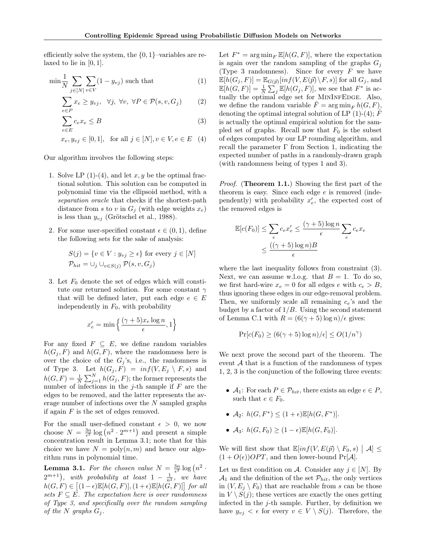efficiently solve the system, the {0, 1}–variables are relaxed to lie in  $[0, 1]$ .

$$
\min \frac{1}{N} \sum_{j \in [N]} \sum_{v \in V} (1 - y_{vj}) \text{ such that } (1)
$$

$$
\sum_{e \in P} x_e \ge y_{vj}, \quad \forall j, \ \forall v, \ \forall P \in \mathcal{P}(s, v, G_j)
$$
 (2)

$$
\sum_{e \in E} c_e x_e \le B \tag{3}
$$

$$
x_e, y_{vj} \in [0, 1]
$$
, for all  $j \in [N]$ ,  $v \in V, e \in E$  (4)

Our algorithm involves the following steps:

- 1. Solve LP  $(1)-(4)$  $(1)-(4)$  $(1)-(4)$ , and let x, y be the optimal fractional solution. This solution can be computed in polynomial time via the ellipsoid method, with a separation oracle that checks if the shortest-path distance from s to v in  $G_j$  (with edge weights  $x_e$ ) is less than  $y_{vj}$  [\(Grötschel et al., 1988\)](#page-9-20).
- 2. For some user-specified constant  $\epsilon \in (0,1)$ , define the following sets for the sake of analysis:

$$
S(j) = \{v \in V : y_{vj} \ge \epsilon\} \text{ for every } j \in [N]
$$
  

$$
\mathcal{P}_{hit} = \bigcup_j \bigcup_{v \in S(j)} \mathcal{P}(s, v, G_j)
$$

3. Let  $F_0$  denote the set of edges which will constitute our returned solution. For some constant  $\gamma$ that will be defined later, put each edge  $e \in E$ independently in  $F_0$ , with probability

$$
x'_e = \min\left\{\frac{(\gamma + 5)x_e \log n}{\epsilon}, 1\right\}
$$

For any fixed  $F \subseteq E$ , we define random variables  $h(G_i, F)$  and  $h(G, F)$ , where the randomness here is over the choice of the  $G_i$ 's, i.e., the randomness is of Type 3. Let  $h(G_j, F) = inf(V, E_j \setminus F, s)$  and  $h(G, F) = \frac{1}{N} \sum_{j=1}^{N} h(G_j, F)$ ; the former represents the number of infections in the  $j$ -th sample if  $F$  are the edges to be removed, and the latter represents the average number of infections over the  $N$  sampled graphs if again  $F$  is the set of edges removed.

For the small user-defined constant  $\epsilon > 0$ , we now choose  $N = \frac{3n}{\epsilon^2} \log (n^2 \cdot 2^{m+1})$  and present a simple concentration result in Lemma [3.1;](#page-5-4) note that for this choice we have  $N = \text{poly}(n, m)$  and hence our algorithm runs in polynomial time.

<span id="page-5-4"></span>**Lemma 3.1.** For the chosen value  $N = \frac{3n}{\epsilon^2} \log (n^2 + 1)$  $2^{m+1}$ ), with probability at least  $1 - \frac{1}{n^2}$ , we have  $h(G, F) \in [(1-\epsilon)\mathbb{E}[h(G, F)], (1+\epsilon)\mathbb{E}[h(G, F)]]$  for all sets  $F \subseteq E$ . The expectation here is over randomness of Type 3, and specifically over the random sampling of the N graphs  $G_i$ .

<span id="page-5-3"></span><span id="page-5-2"></span><span id="page-5-0"></span>Let  $F^* = \arg \min_F \mathbb{E}[h(G, F)],$  where the expectation is again over the random sampling of the graphs  $G_i$ (Type 3 randomness). Since for every  $F$  we have  $\mathbb{E}[h(G_j, F)] = \mathbb{E}_{G(\vec{p})}[inf(V, E(\vec{p}) \setminus F, s)]$  for all  $G_j$ , and  $\mathbb{E}[h(G, F)] = \frac{1}{N} \sum_{j} \mathbb{E}[h(G_j, F)],$  we see that  $F^*$  is actually the optimal edge set for MININFEDGE. Also, we define the random variable  $\hat{F} = \arg \min_{F} h(G, F)$ , denoting the optimal integral solution of LP  $(1)-(4)$  $(1)-(4)$  $(1)-(4)$ ;  $\hat{F}$ is actually the optimal empirical solution for the sampled set of graphs. Recall now that  $F_0$  is the subset of edges computed by our LP rounding algorithm, and recall the parameter  $\Gamma$  from Section [1,](#page-0-0) indicating the expected number of paths in a randomly-drawn graph (with randomness being of types 1 and 3).

<span id="page-5-1"></span>Proof. (Theorem [1.1.](#page-2-2)) Showing the first part of the theorem is easy. Since each edge e is removed (independently) with probability  $x'_e$ , the expected cost of the removed edges is

$$
\mathbb{E}[c(F_0)] \le \sum_e c_e x'_e \le \frac{(\gamma + 5) \log n}{\epsilon} \sum_e c_e x_e
$$

$$
\le \frac{((\gamma + 5) \log n)B}{\epsilon}
$$

where the last inequality follows from constraint [\(3\)](#page-5-3). Next, we can assume w.l.o.g. that  $B = 1$ . To do so, we first hard-wire  $x_e = 0$  for all edges e with  $c_e > B$ , thus ignoring these edges in our edge-removal problem. Then, we uniformly scale all remaining  $c_e$ 's and the budget by a factor of  $1/B$ . Using the second statement of Lemma [C.1](#page-13-1) with  $R = (6(\gamma + 5) \log n)/\epsilon$  gives:

$$
\Pr[c(F_0) \ge (6(\gamma + 5)\log n)/\epsilon] \le O(1/n^{\gamma})
$$

We next prove the second part of the theorem. The event  $A$  that is a function of the randomness of types 1, 2, 3 is the conjunction of the following three events:

- $A_1$ : For each  $P \in \mathcal{P}_{hit}$ , there exists an edge  $e \in P$ , such that  $e \in F_0$ .
- $A_2$ :  $h(G, F^*) \leq (1 + \epsilon) \mathbb{E}[h(G, F^*)]$ .
- $A_3: h(G, F_0) \geq (1 \epsilon) \mathbb{E}[h(G, F_0)].$

We will first show that  $\mathbb{E}[inf(V, E(\vec{p}) \setminus F_0, s) | \mathcal{A}] \le$  $(1 + O(\epsilon))OPT$ , and then lower-bound Pr[A].

Let us first condition on A. Consider any  $j \in [N]$ . By  $\mathcal{A}_1$  and the definition of the set  $\mathcal{P}_{hit}$ , the only vertices in  $(V, E_i \setminus F_0)$  that are reachable from s can be those in  $V \setminus S(j)$ ; these vertices are exactly the ones getting infected in the  $j$ -th sample. Further, by definition we have  $y_{vj} < \epsilon$  for every  $v \in V \setminus S(j)$ . Therefore, the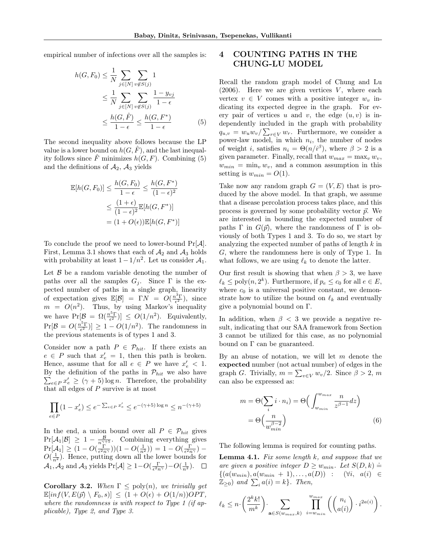empirical number of infections over all the samples is:

$$
h(G, F_0) \leq \frac{1}{N} \sum_{j \in [N]} \sum_{v \notin S(j)} 1
$$
  
\n
$$
\leq \frac{1}{N} \sum_{j \in [N]} \sum_{v \notin S(j)} \frac{1 - y_{vj}}{1 - \epsilon}
$$
  
\n
$$
\leq \frac{h(G, \hat{F})}{1 - \epsilon} \leq \frac{h(G, F^*)}{1 - \epsilon}
$$
 (5)

The second inequality above follows because the LP value is a lower bound on  $h(G, \hat{F})$ , and the last inequality follows since  $\hat{F}$  minimizes  $h(G, F)$ . Combining [\(5\)](#page-6-1) and the definitions of  $A_2$ ,  $A_3$  yields

$$
\mathbb{E}[h(G, F_0)] \le \frac{h(G, F_0)}{1 - \epsilon} \le \frac{h(G, F^*)}{(1 - \epsilon)^2}
$$

$$
\le \frac{(1 + \epsilon)}{(1 - \epsilon)^2} \mathbb{E}[h(G, F^*)]
$$

$$
= (1 + O(\epsilon)) \mathbb{E}[h(G, F^*)]
$$

To conclude the proof we need to lower-bound  $Pr[\mathcal{A}]$ . First, Lemma [3.1](#page-5-4) shows that each of  $A_2$  and  $A_3$  holds with probability at least  $1 - 1/n^2$ . Let us consider  $\mathcal{A}_1$ .

Let  $\beta$  be a random variable denoting the number of paths over all the samples  $G_j$ . Since  $\Gamma$  is the expected number of paths in a single graph, linearity of expectation gives  $\mathbb{E}[\mathcal{B}] = \Gamma N = O(\frac{n^3 \Gamma}{\epsilon^2})$ , since  $m = O(n^2)$ . Thus, by using Markov's inequality we have  $Pr[\mathcal{B} = \Omega(\frac{n^5 \Gamma}{\epsilon^2})] \leq O(1/n^2)$ . Equivalently,  $Pr[\mathcal{B} = O(\frac{n^5 \Gamma}{\epsilon^2})] \ge 1 - O(1/n^2)$ . The randomness in the previous statements is of types 1 and 3.

Consider now a path  $P \in \mathcal{P}_{hit}$ . If there exists an  $e \in P$  such that  $x'_e = 1$ , then this path is broken. Hence, assume that for all  $e \in P$  we have  $x'_e < 1$ . By the definition of the paths in  $\mathcal{P}_{hit}$  we also have  $\sum_{e \in P} x'_e \geq (\gamma + 5) \log n$ . Therefore, the probability that all edges of  $P$  survive is at most

$$
\prod_{e\in P}(1-x'_e)\leq e^{-\sum_{e\in P}x'_e}\leq e^{-(\gamma+5)\log n}\leq n^{-(\gamma+5)}
$$

In the end, a union bound over all  $P \in \mathcal{P}_{hit}$  gives  $Pr[\mathcal{A}_1|\mathcal{B}] \geq 1 - \frac{\mathcal{B}}{n^{\gamma+5}}$ . Combining everything gives  $Pr[A_1] \geq (1 - O(\frac{\Gamma}{\epsilon^2 n^{\gamma}}))(1 - O(\frac{1}{n^2})) = 1 - O(\frac{\Gamma}{\epsilon^2 n^{\gamma}})$  $O(\frac{1}{n^2})$ . Hence, putting down all the lower bounds for  $\mathcal{A}_1, \mathcal{A}_2$  and  $\mathcal{A}_3$  yields  $Pr[\mathcal{A}] \geq 1 - O(\frac{\Gamma}{\epsilon^2 n^{\gamma}}) - O(\frac{1}{n^2}).$ 

<span id="page-6-4"></span>Corollary 3.2. When  $\Gamma \leq \text{poly}(n)$ , we trivially get  $\mathbb{E}[inf(V, E(\vec{p}) \setminus F_0, s)] \leq (1 + O(\epsilon) + O(1/n))OPT$ where the randomness is with respect to Type 1 (if applicable), Type 2, and Type 3.

# <span id="page-6-0"></span>4 COUNTING PATHS IN THE CHUNG-LU MODEL

<span id="page-6-1"></span>Recall the random graph model of [Chung and Lu](#page-9-8)  $(2006)$ . Here we are given vertices V, where each vertex  $v \in V$  comes with a positive integer  $w_v$  indicating its expected degree in the graph. For every pair of vertices u and v, the edge  $(u, v)$  is independently included in the graph with probability  $q_{u,v} = w_u w_v / \sum_{r \in V} w_r$ . Furthermore, we consider a power-law model, in which  $n_i$ , the number of nodes of weight *i*, satisfies  $n_i = \Theta(n/i^{\beta})$ , where  $\beta > 2$  is a given parameter. Finally, recall that  $w_{max} = \max_{v} w_v$ ,  $w_{min} = \min_{v} w_v$ , and a common assumption in this setting is  $w_{min} = O(1)$ .

Take now any random graph  $G = (V, E)$  that is produced by the above model. In that graph, we assume that a disease percolation process takes place, and this process is governed by some probability vector  $\vec{p}$ . We are interested in bounding the expected number of paths  $\Gamma$  in  $G(\vec{p})$ , where the randomness of  $\Gamma$  is obviously of both Types 1 and 3. To do so, we start by analyzing the expected number of paths of length k in G, where the randomness here is only of Type 1. In what follows, we are using  $\ell_k$  to denote the latter.

Our first result is showing that when  $\beta > 3$ , we have  $\ell_k \le \text{poly}(n, 2^k)$ . Furthermore, if  $p_e \le c_0$  for all  $e \in E$ , where  $c_0$  is a universal positive constant, we demonstrate how to utilize the bound on  $\ell_k$  and eventually give a polynomial bound on Γ.

In addition, when  $\beta < 3$  we provide a negative result, indicating that our SAA framework from Section [3](#page-4-0) cannot be utilized for this case, as no polynomial bound on Γ can be guaranteed.

By an abuse of notation, we will let  $m$  denote the expected number (not actual number) of edges in the graph *G*. Trivially,  $m = \sum_{v \in V} w_v/2$ . Since  $\beta > 2$ , m can also be expressed as:

<span id="page-6-3"></span>
$$
m = \Theta(\sum_{i} i \cdot n_{i}) = \Theta\left(\int_{w_{min}}^{w_{max}} \frac{n}{z^{\beta - 1}} dz\right)
$$

$$
= \Theta\left(\frac{n}{w_{min}^{\beta - 2}}\right)
$$
(6)

The following lemma is required for counting paths.

<span id="page-6-2"></span>**Lemma 4.1.** Fix some length  $k$ , and suppose that we are given a positive integer  $D \geq w_{min}$ . Let  $S(D, k) \doteq$  $\{(a(w_{min}), a(w_{min} + 1), \ldots, a(D)) : (\forall i, a(i)) \in$  $\mathbb{Z}_{\geq 0}$  and  $\sum_i a(i) = k$ . Then,

$$
\ell_k \leq n \cdot \left(\frac{2^k k!}{m^k}\right) \cdot \sum_{\mathbf{a} \in S(w_{max}, k)} \prod_{i=w_{min}}^{w_{max}} \left( \binom{n_i}{a(i)} \cdot i^{2a(i)} \right).
$$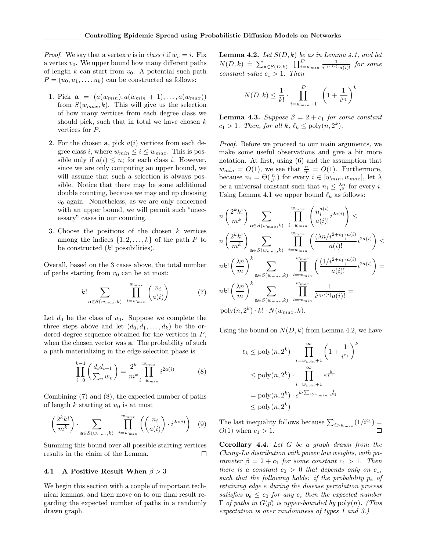*Proof.* We say that a vertex v is in class i if  $w_v = i$ . Fix a vertex  $v_0$ . We upper bound how many different paths of length k can start from  $v_0$ . A potential such path  $P = (u_0, u_1, \dots, u_k)$  can be constructed as follows:

- 1. Pick  $\mathbf{a} = (a(w_{min}), a(w_{min} + 1), \ldots, a(w_{max}))$ from  $S(w_{max}, k)$ . This will give us the selection of how many vertices from each degree class we should pick, such that in total we have chosen  $k$ vertices for P.
- 2. For the chosen  $a$ , pick  $a(i)$  vertices from each degree class *i*, where  $w_{min} \leq i \leq w_{max}$ . This is possible only if  $a(i) \leq n_i$  for each class *i*. However, since we are only computing an upper bound, we will assume that such a selection is always possible. Notice that there may be some additional double counting, because we may end up choosing  $v_0$  again. Nonetheless, as we are only concerned with an upper bound, we will permit such "unecessary" cases in our counting.
- 3. Choose the positions of the chosen  $k$  vertices among the indices  $\{1, 2, \ldots, k\}$  of the path P to be constructed  $(k!)$  possibilities).

Overall, based on the 3 cases above, the total number of paths starting from  $v_0$  can be at most:

$$
k! \sum_{\mathbf{a} \in S(w_{max}, k)} \prod_{i=w_{min}}^{w_{max}} {n_i \choose a(i)} \tag{7}
$$

Let  $d_0$  be the class of  $u_0$ . Suppose we complete the three steps above and let  $(d_0, d_1, \ldots, d_k)$  be the ordered degree sequence obtained for the vertices in  $P$ , when the chosen vector was **a**. The probability of such a path materializing in the edge selection phase is

$$
\prod_{i=0}^{k-1} \left( \frac{d_i d_{i+1}}{\sum_v w_v} \right) = \frac{2^k}{m^k} \prod_{i=w_{min}}^{w_{max}} i^{2a(i)} \tag{8}
$$

Combining [\(7\)](#page-7-0) and [\(8\)](#page-7-1), the expected number of paths of length  $k$  starting at  $u_0$  is at most

$$
\left(\frac{2^k k!}{m^k}\right) \cdot \sum_{\mathbf{a}\in S(w_{max},k)} \prod_{i=w_{min}}^{w_{max}} \left( \binom{n_i}{a(i)} \cdot i^{2a(i)} \right) \tag{9}
$$

Summing this bound over all possible starting vertices results in the claim of the Lemma.  $\Box$ 

#### 4.1 A Positive Result When  $\beta > 3$

We begin this section with a couple of important technical lemmas, and then move on to our final result regarding the expected number of paths in a randomly drawn graph.

<span id="page-7-2"></span>**Lemma 4.2.** Let  $S(D, k)$  be as in Lemma [4.1,](#page-6-2) and let  $N(D, k) \doteq \sum_{\mathbf{a} \in S(D,k)} \prod_{i=w_{min}}^{D} \frac{1}{i^{c_1 a(i)}}$  $\frac{1}{i^{c_1a(i)}\cdot a(i)!}$  for some constant value  $c_1 > 1$ . Then

$$
N(D,k) \le \frac{1}{k!} \cdot \prod_{i=w_{min}+1}^{D} \left(1 + \frac{1}{i^{c_1}}\right)^k
$$

<span id="page-7-3"></span>**Lemma 4.3.** Suppose  $\beta = 2 + c_1$  for some constant  $c_1 > 1$ . Then, for all  $k, \ell_k \le \text{poly}(n, 2^k)$ .

Proof. Before we proceed to our main arguments, we make some useful observations and give a bit more notation. At first, using [\(6\)](#page-6-3) and the assumption that  $w_{min} = O(1)$ , we see that  $\frac{n}{m} = O(1)$ . Furthermore, because  $n_i = \Theta(\frac{n}{i^{\beta}})$  for every  $i \in [w_{min}, w_{max}]$ , let  $\lambda$ be a universal constant such that  $n_i \leq \frac{\lambda n}{i^{\beta}}$  for every *i*. Using Lemma [4.1](#page-6-2) we upper bound  $\ell_k$  as follows:

$$
n\left(\frac{2^k k!}{m^k}\right) \sum_{\mathbf{a}\in S(w_{max},k)} \prod_{i=w_{min}}^{w_{max}} \left(\frac{n_i^{a(i)}}{a(i)!}i^{2a(i)}\right) \le
$$
  

$$
n\left(\frac{2^k k!}{m^k}\right) \sum_{\mathbf{a}\in S(w_{max},k)} \prod_{i=w_{min}}^{w_{max}} \left(\frac{(\lambda n/i^{2+c_1})^{a(i)}}{a(i)!}i^{2a(i)}\right) \le
$$
  

$$
nk!\left(\frac{\lambda n}{m}\right)^k \sum_{\mathbf{a}\in S(w_{max},k)} \prod_{i=w_{min}}^{w_{max}} \left(\frac{(1/i^{2+c_1})^{a(i)}}{a(i)!}i^{2a(i)}\right) =
$$
  

$$
nk!\left(\frac{\lambda n}{m}\right)^k \sum_{\mathbf{a}\in S(w_{max},k)} \prod_{i=w_{min}}^{w_{max}} \frac{1}{i^{c_1 a(i)}a(i)!} =
$$
  

$$
poly(n, 2^k) \cdot k! \cdot N(w_{max}, k).
$$

<span id="page-7-1"></span><span id="page-7-0"></span>Using the bound on  $N(D, k)$  from Lemma [4.2,](#page-7-2) we have

$$
\ell_k \le \text{poly}(n, 2^k) \cdot \prod_{i=w_{min}+1}^{\infty} \left(1 + \frac{1}{i^{c_1}}\right)^k
$$
  
\n
$$
\le \text{poly}(n, 2^k) \cdot \prod_{i=w_{min}+1}^{\infty} e^{\frac{k}{i^{c_1}}}
$$
  
\n
$$
= \text{poly}(n, 2^k) \cdot e^{k \cdot \sum_{i>w_{min}} \frac{1}{i^{c_1}}}
$$
  
\n
$$
\le \text{poly}(n, 2^k)
$$

The last inequality follows because  $\sum_{i> w_{min}} (1/i^{c_1}) =$  $O(1)$  when  $c_1 > 1$ .  $\Box$ 

<span id="page-7-4"></span>**Corollary 4.4.** Let  $G$  be a graph drawn from the Chung-Lu distribution with power law weights, with parameter  $\beta = 2 + c_1$  for some constant  $c_1 > 1$ . Then there is a constant  $c_0 > 0$  that depends only on  $c_1$ , such that the following holds: if the probability  $p_e$  of retaining edge e during the disease percolation process satisfies  $p_e \leq c_0$  for any e, then the expected number  $\Gamma$  of paths in  $G(\vec{p})$  is upper-bounded by  $\text{poly}(n)$ . (This expectation is over randomness of types 1 and 3.)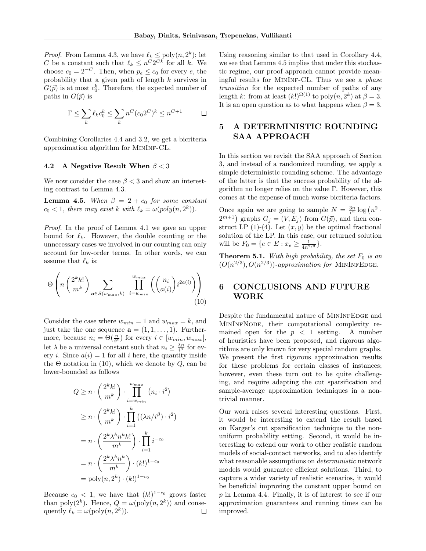*Proof.* From Lemma [4.3,](#page-7-3) we have  $\ell_k \le \text{poly}(n, 2^k)$ ; let C be a constant such that  $\ell_k \leq n^C 2^{Ck}$  for all k. We choose  $c_0 = 2^{-C}$ . Then, when  $p_e \le c_0$  for every  $e$ , the probability that a given path of length k survives in  $G(\vec{p})$  is at most  $c_0^k$ . Therefore, the expected number of paths in  $G(\vec{p})$  is

$$
\Gamma \le \sum_{k} \ell_k c_0^k \le \sum_{k} n^C (c_0 2^C)^k \le n^{C+1} \qquad \Box
$$

Combining Corollaries [4.4](#page-7-4) and [3.2,](#page-6-4) we get a bicriteria approximation algorithm for MinInf-CL.

#### 4.2 A Negative Result When  $\beta < 3$

We now consider the case  $\beta < 3$  and show an interesting contrast to Lemma [4.3.](#page-7-3)

<span id="page-8-2"></span>**Lemma 4.5.** When  $\beta = 2 + c_0$  for some constant  $c_0 < 1$ , there may exist k with  $\ell_k = \omega(\text{poly}(n, 2^k)).$ 

Proof. In the proof of Lemma [4.1](#page-6-2) we gave an upper bound for  $\ell_k$ . However, the double counting or the unnecessary cases we involved in our counting can only account for low-order terms. In other words, we can assume that  $\ell_k$  is:

$$
\Theta\left(n\left(\frac{2^k k!}{m^k}\right)\sum_{\mathbf{a}\in S(w_{max},k)}\prod_{i=w_{min}}^{w_{max}}\left(\binom{n_i}{a(i)}i^{2a(i)}\right)\right)
$$
(10)

Consider the case where  $w_{min} = 1$  and  $w_{max} = k$ , and just take the one sequence  $\mathbf{a} = (1, 1, \ldots, 1)$ . Furthermore, because  $n_i = \Theta(\frac{n}{i^{\beta}})$  for every  $i \in [w_{min}, w_{max}]$ , let  $\lambda$  be a universal constant such that  $n_i \geq \frac{\lambda n}{i^{\beta}}$  for every *i*. Since  $a(i) = 1$  for all *i* here, the quantity inside the  $\Theta$  notation in [\(10\)](#page-8-1), which we denote by  $Q$ , can be lower-bounded as follows

$$
Q \geq n \cdot \left(\frac{2^k k!}{m^k}\right) \cdot \prod_{i=w_{min}}^{w_{max}} (n_i \cdot i^2)
$$
  
\n
$$
\geq n \cdot \left(\frac{2^k k!}{m^k}\right) \cdot \prod_{i=1}^k ((\lambda n/i^{\beta}) \cdot i^2)
$$
  
\n
$$
= n \cdot \left(\frac{2^k \lambda^k n^k k!}{m^k}\right) \cdot \prod_{i=1}^k i^{-c_0}
$$
  
\n
$$
= n \cdot \left(\frac{2^k \lambda^k n^k}{m^k}\right) \cdot (k!)^{1-c_0}
$$
  
\n
$$
= \text{poly}(n, 2^k) \cdot (k!)^{1-c_0}
$$

Because  $c_0 < 1$ , we have that  $(k!)^{1-c_0}$  grows faster than poly $(2^k)$ . Hence,  $Q = \omega(\text{poly}(n, 2^k))$  and consequently  $\ell_k = \omega(\text{poly}(n, 2^k)).$  $\Box$ 

Using reasoning similar to that used in Corollary [4.4,](#page-7-4) we see that Lemma [4.5](#page-8-2) implies that under this stochastic regime, our proof approach cannot provide meaningful results for MinInf-CL. Thus we see a phase transition for the expected number of paths of any length k: from at least  $(k!)^{\Omega(1)}$  to  $\text{poly}(n, 2^k)$  at  $\beta = 3$ . It is an open question as to what happens when  $\beta = 3$ .

### <span id="page-8-0"></span>5 A DETERMINISTIC ROUNDING SAA APPROACH

In this section we revisit the SAA approach of Section [3,](#page-4-0) and instead of a randomized rounding, we apply a simple deterministic rounding scheme. The advantage of the latter is that the success probability of the algorithm no longer relies on the value Γ. However, this comes at the expense of much worse bicriteria factors.

Once again we are going to sample  $N = \frac{3n}{\epsilon^2} \log (n^2 \cdot$  $2^{m+1}$ ) graphs  $G_j = (V, E_j)$  from  $G(\vec{p})$ , and then construct LP  $(1)-(4)$  $(1)-(4)$  $(1)-(4)$ . Let  $(x, y)$  be the optimal fractional solution of the LP. In this case, our returned solution will be  $F_0 = \{e \in E : x_e \geq \frac{1}{4n^{2/3}}\}.$ 

<span id="page-8-3"></span>**Theorem 5.1.** With high probability, the set  $F_0$  is an  $(O(n^{2/3}), O(n^{2/3}))$ -approximation for MININFEDGE.

## <span id="page-8-1"></span>6 CONCLUSIONS AND FUTURE WORK

Despite the fundamental nature of MININFEDGE and MinInfNode, their computational complexity remained open for the  $p \leq 1$  setting. A number of heuristics have been proposed, and rigorous algorithms are only known for very special random graphs. We present the first rigorous approximation results for these problems for certain classes of instances; however, even these turn out to be quite challenging, and require adapting the cut sparsification and sample-average approximation techniques in a nontrivial manner.

Our work raises several interesting questions. First, it would be interesting to extend the result based on Karger's cut sparsification technique to the nonuniform probability setting. Second, it would be interesting to extend our work to other realistic random models of social-contact networks, and to also identify what reasonable assumptions on *deterministic* network models would guarantee efficient solutions. Third, to capture a wider variety of realistic scenarios, it would be beneficial improving the constant upper bound on p in Lemma [4.4.](#page-7-4) Finally, it is of interest to see if our approximation guarantees and running times can be improved.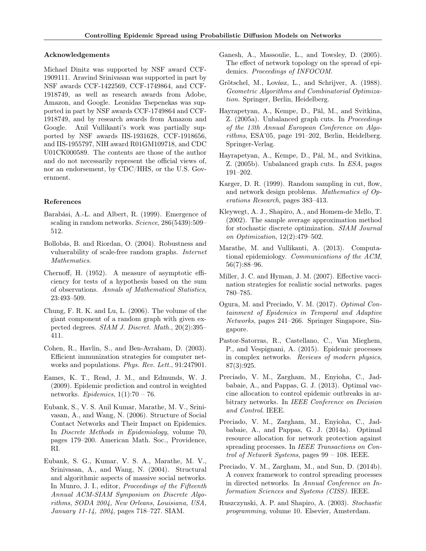#### Acknowledgements

Michael Dinitz was supported by NSF award CCF-1909111. Aravind Srinivasan was supported in part by NSF awards CCF-1422569, CCF-1749864, and CCF-1918749, as well as research awards from Adobe, Amazon, and Google. Leonidas Tsepenekas was supported in part by NSF awards CCF-1749864 and CCF-1918749, and by research awards from Amazon and Google. Anil Vullikanti's work was partially supported by NSF awards IIS-1931628, CCF-1918656, and IIS-1955797, NIH award R01GM109718, and CDC U01CK000589. The contents are those of the author and do not necessarily represent the official views of, nor an endorsement, by CDC/HHS, or the U.S. Government.

### References

- <span id="page-9-7"></span>Barabási, A.-L. and Albert, R. (1999). Emergence of scaling in random networks. Science, 286(5439):509– 512.
- <span id="page-9-3"></span>Bollobás, B. and Riordan, O. (2004). Robustness and vulnerability of scale-free random graphs. Internet Mathematics.
- <span id="page-9-21"></span>Chernoff, H. (1952). A measure of asymptotic efficiency for tests of a hypothesis based on the sum of observations. Annals of Mathematical Statistics, 23:493–509.
- <span id="page-9-8"></span>Chung, F. R. K. and Lu, L. (2006). The volume of the giant component of a random graph with given expected degrees. SIAM J. Discret. Math., 20(2):395– 411.
- <span id="page-9-12"></span>Cohen, R., Havlin, S., and Ben-Avraham, D. (2003). Efficient immunization strategies for computer networks and populations. Phys. Rev. Lett., 91:247901.
- <span id="page-9-11"></span>Eames, K. T., Read, J. M., and Edmunds, W. J. (2009). Epidemic prediction and control in weighted networks. Epidemics,  $1(1):70 - 76$ .
- <span id="page-9-6"></span>Eubank, S., V. S. Anil Kumar, Marathe, M. V., Srinivasan, A., and Wang, N. (2006). Structure of Social Contact Networks and Their Impact on Epidemics. In Discrete Methods in Epidemiology, volume 70, pages 179–200. American Math. Soc., Providence, RI.
- <span id="page-9-5"></span>Eubank, S. G., Kumar, V. S. A., Marathe, M. V., Srinivasan, A., and Wang, N. (2004). Structural and algorithmic aspects of massive social networks. In Munro, J. I., editor, Proceedings of the Fifteenth Annual ACM-SIAM Symposium on Discrete Algorithms, SODA 2004, New Orleans, Louisiana, USA, January 11-14, 2004, pages 718–727. SIAM.
- <span id="page-9-14"></span>Ganesh, A., Massoulie, L., and Towsley, D. (2005). The effect of network topology on the spread of epidemics. Proceedings of INFOCOM.
- <span id="page-9-20"></span>Grötschel, M., Lovász, L., and Schrijver, A. (1988). Geometric Algorithms and Combinatorial Optimization. Springer, Berlin, Heidelberg.
- <span id="page-9-4"></span>Hayrapetyan, A., Kempe, D., Pál, M., and Svitkina, Z. (2005a). Unbalanced graph cuts. In Proceedings of the 13th Annual European Conference on Algorithms, ESA'05, page 191–202, Berlin, Heidelberg. Springer-Verlag.
- <span id="page-9-19"></span>Hayrapetyan, A., Kempe, D., Pál, M., and Svitkina, Z. (2005b). Unbalanced graph cuts. In ESA, pages 191–202.
- <span id="page-9-0"></span>Karger, D. R. (1999). Random sampling in cut, flow, and network design problems. Mathematics of Operations Research, pages 383–413.
- <span id="page-9-9"></span>Kleywegt, A. J., Shapiro, A., and Homem-de Mello, T. (2002). The sample average approximation method for stochastic discrete optimization. SIAM Journal on Optimization, 12(2):479–502.
- <span id="page-9-2"></span>Marathe, M. and Vullikanti, A. (2013). Computational epidemiology. Communications of the ACM, 56(7):88–96.
- <span id="page-9-13"></span>Miller, J. C. and Hyman, J. M. (2007). Effective vaccination strategies for realistic social networks. pages 780–785.
- <span id="page-9-18"></span>Ogura, M. and Preciado, V. M. (2017). Optimal Containment of Epidemics in Temporal and Adaptive Networks, pages 241–266. Springer Singapore, Singapore.
- <span id="page-9-1"></span>Pastor-Satorras, R., Castellano, C., Van Mieghem, P., and Vespignani, A. (2015). Epidemic processes in complex networks. Reviews of modern physics, 87(3):925.
- <span id="page-9-16"></span>Preciado, V. M., Zargham, M., Enyioha, C., Jadbabaie, A., and Pappas, G. J. (2013). Optimal vaccine allocation to control epidemic outbreaks in arbitrary networks. In IEEE Conference on Decision and Control. IEEE.
- <span id="page-9-17"></span>Preciado, V. M., Zargham, M., Enyioha, C., Jadbabaie, A., and Pappas, G. J. (2014a). Optimal resource allocation for network protection against spreading processes. In IEEE Transactions on Control of Network Systems, pages 99 – 108. IEEE.
- <span id="page-9-15"></span>Preciado, V. M., Zargham, M., and Sun, D. (2014b). A convex framework to control spreading processes in directed networks. In Annual Conference on Information Sciences and Systems (CISS). IEEE.
- <span id="page-9-10"></span>Ruszczynski, A. P. and Shapiro, A. (2003). Stochastic programming, volume 10. Elsevier, Amsterdam.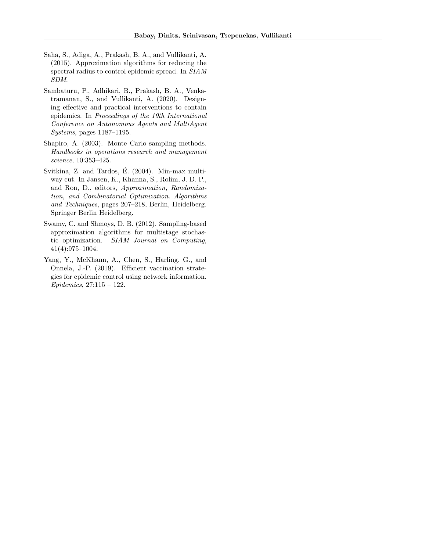- <span id="page-10-5"></span>Saha, S., Adiga, A., Prakash, B. A., and Vullikanti, A. (2015). Approximation algorithms for reducing the spectral radius to control epidemic spread. In SIAM SDM.
- <span id="page-10-4"></span>Sambaturu, P., Adhikari, B., Prakash, B. A., Venkatramanan, S., and Vullikanti, A. (2020). Designing effective and practical interventions to contain epidemics. In Proceedings of the 19th International Conference on Autonomous Agents and MultiAgent Systems, pages 1187–1195.
- <span id="page-10-1"></span>Shapiro, A. (2003). Monte Carlo sampling methods. Handbooks in operations research and management science, 10:353–425.
- <span id="page-10-0"></span>Svitkina, Z. and Tardos, É. (2004). Min-max multiway cut. In Jansen, K., Khanna, S., Rolim, J. D. P., and Ron, D., editors, Approximation, Randomization, and Combinatorial Optimization. Algorithms and Techniques, pages 207–218, Berlin, Heidelberg. Springer Berlin Heidelberg.
- <span id="page-10-2"></span>Swamy, C. and Shmoys, D. B. (2012). Sampling-based approximation algorithms for multistage stochastic optimization. SIAM Journal on Computing, 41(4):975–1004.
- <span id="page-10-3"></span>Yang, Y., McKhann, A., Chen, S., Harling, G., and Onnela, J.-P. (2019). Efficient vaccination strategies for epidemic control using network information. Epidemics, 27:115 – 122.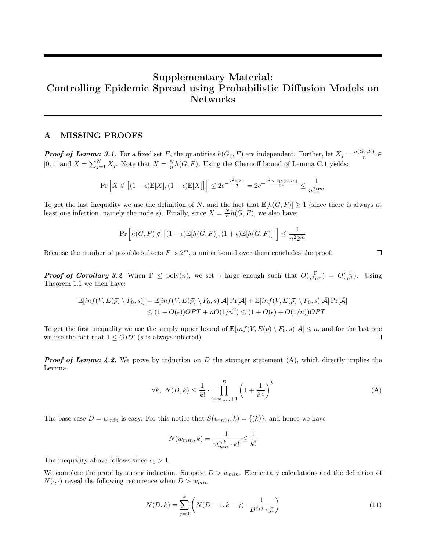# Supplementary Material: Controlling Epidemic Spread using Probabilistic Diffusion Models on Networks

### A MISSING PROOFS

**Proof of Lemma [3.1](#page-5-4).** For a fixed set F, the quantities  $h(G_j, F)$  are independent. Further, let  $X_j = \frac{h(G_j, F)}{n}$ [0, 1] and  $X = \sum_{j=1}^{N} X_j$ . Note that  $X = \frac{N}{n} h(G, F)$ . Using the Chernoff bound of Lemma [C.1](#page-13-1) yields:

$$
\Pr\left[X \notin \left[(1-\epsilon)\mathbb{E}[X], (1+\epsilon)\mathbb{E}[X]\right]\right] \le 2e^{-\frac{\epsilon^2\mathbb{E}[X]}{3}} = 2e^{-\frac{\epsilon^2N\cdot\mathbb{E}[h(G,F)]}{3n}} \le \frac{1}{n^2 2^m}
$$

To get the last inequality we use the definition of N, and the fact that  $\mathbb{E}[h(G, F)] \ge 1$  (since there is always at least one infection, namely the node s). Finally, since  $X = \frac{N}{n}h(G, F)$ , we also have:

$$
\Pr\left[h(G,F) \notin \left[(1-\epsilon)\mathbb{E}[h(G,F)],(1+\epsilon)\mathbb{E}[h(G,F)]\right]\right] \le \frac{1}{n^2 2^m}
$$

Because the number of possible subsets  $F$  is  $2<sup>m</sup>$ , a union bound over them concludes the proof.

**Proof of Corollary [3.2](#page-6-4).** When  $\Gamma \leq \text{poly}(n)$ , we set  $\gamma$  large enough such that  $O(\frac{\Gamma}{\epsilon^2 n^{\gamma}}) = O(\frac{1}{n^2})$ . Using Theorem [1.1](#page-2-2) we then have:

$$
\mathbb{E}[inf(V, E(\vec{p}) \setminus F_0, s)] = \mathbb{E}[inf(V, E(\vec{p}) \setminus F_0, s)|\mathcal{A}] \Pr[\mathcal{A}] + \mathbb{E}[inf(V, E(\vec{p}) \setminus F_0, s)|\bar{\mathcal{A}}] \Pr[\bar{\mathcal{A}}]
$$
  
 
$$
\leq (1 + O(\epsilon))OPT + nO(1/n^2) \leq (1 + O(\epsilon) + O(1/n))OPT
$$

To get the first inequality we use the simply upper bound of  $\mathbb{E}[inf(V,E(\vec{p}) \setminus F_0,s)|\bar{A}] \leq n$ , and for the last one we use the fact that  $1 \leq OPT$  (s is always infected).  $\Box$ 

**Proof of Lemma [4.2](#page-7-2).** We prove by induction on D the stronger statement  $(A)$ , which directly implies the Lemma.

$$
\forall k, \ N(D,k) \le \frac{1}{k!} \cdot \prod_{i=w_{min}+1}^{D} \left(1 + \frac{1}{i^{c_1}}\right)^k \tag{A}
$$

The base case  $D = w_{min}$  is easy. For this notice that  $S(w_{min}, k) = \{(k)\}\)$ , and hence we have

$$
N(w_{min}, k) = \frac{1}{w_{min}^{c_{1}k} \cdot k!} \le \frac{1}{k!}
$$

The inequality above follows since  $c_1 > 1$ .

We complete the proof by strong induction. Suppose  $D > w_{min}$ . Elementary calculations and the definition of  $N(\cdot, \cdot)$  reveal the following recurrence when  $D > w_{min}$ 

<span id="page-11-1"></span>
$$
N(D,k) = \sum_{j=0}^{k} \left( N(D-1, k-j) \cdot \frac{1}{D^{c_1 j} \cdot j!} \right)
$$
 (11)

<span id="page-11-0"></span>
$$
\qquad \qquad \Box
$$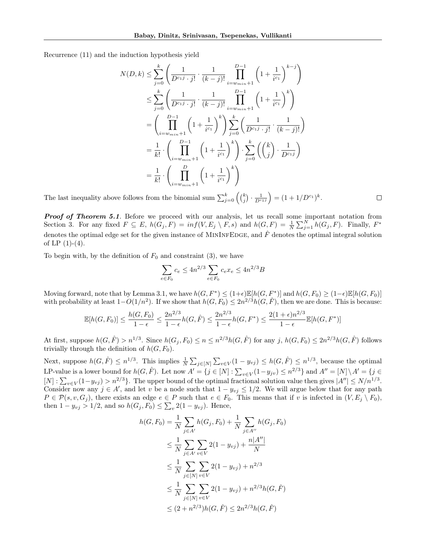Recurrence [\(11\)](#page-11-1) and the induction hypothesis yield

$$
N(D,k) \leq \sum_{j=0}^{k} \left( \frac{1}{D^{c_1 j} \cdot j!} \cdot \frac{1}{(k-j)!} \prod_{i=w_{min}+1}^{D-1} \left( 1 + \frac{1}{i^{c_1}} \right)^{k-j} \right)
$$
  
\n
$$
\leq \sum_{j=0}^{k} \left( \frac{1}{D^{c_1 j} \cdot j!} \cdot \frac{1}{(k-j)!} \prod_{i=w_{min}+1}^{D-1} \left( 1 + \frac{1}{i^{c_1}} \right)^{k} \right)
$$
  
\n
$$
= \left( \prod_{i=w_{min}+1}^{D-1} \left( 1 + \frac{1}{i^{c_1}} \right)^{k} \right) \sum_{j=0}^{k} \left( \frac{1}{D^{c_1 j} \cdot j!} \cdot \frac{1}{(k-j)!} \right)
$$
  
\n
$$
= \frac{1}{k!} \cdot \left( \prod_{i=w_{min}+1}^{D-1} \left( 1 + \frac{1}{i^{c_1}} \right)^{k} \right) \cdot \sum_{j=0}^{k} \left( \binom{k}{j} \cdot \frac{1}{D^{c_1 j}} \right)
$$
  
\n
$$
= \frac{1}{k!} \cdot \left( \prod_{i=w_{min}+1}^{D} \left( 1 + \frac{1}{i^{c_1}} \right)^{k} \right)
$$

 $\Box$ 

The last inequality above follows from the binomial sum  $\sum_{j=0}^{k} \left( \binom{k}{j} \cdot \frac{1}{D^{c_1 j}} \right) = (1 + 1/D^{c_1})^k$ .

**Proof of Theorem [5.1](#page-8-3).** Before we proceed with our analysis, let us recall some important notation from Section [3.](#page-4-0) For any fixed  $F \subseteq E$ ,  $h(G_j, F) = inf(V, E_j \setminus F, s)$  and  $h(G, F) = \frac{1}{N} \sum_{j=1}^N h(G_j, F)$ . Finally,  $F^*$ denotes the optimal edge set for the given instance of MININFEDGE, and  $\hat{F}$  denotes the optimal integral solution of LP  $(1)-(4)$  $(1)-(4)$  $(1)-(4)$ .

To begin with, by the definition of  $F_0$  and constraint [\(3\)](#page-5-3), we have

$$
\sum_{e \in F_0} c_e \le 4n^{2/3} \sum_{e \in F_0} c_e x_e \le 4n^{2/3} B
$$

Moving forward, note that by Lemma [3.1,](#page-5-4) we have  $h(G, F^*) \leq (1+\epsilon) \mathbb{E}[h(G, F^*)]$  and  $h(G, F_0) \geq (1-\epsilon) \mathbb{E}[h(G, F_0)]$ with probability at least  $1-O(1/n^2)$ . If we show that  $h(G, F_0) \leq 2n^{2/3}h(G, F)$ , then we are done. This is because:

$$
\mathbb{E}[h(G, F_0)] \le \frac{h(G, F_0)}{1 - \epsilon} \le \frac{2n^{2/3}}{1 - \epsilon} h(G, \hat{F}) \le \frac{2n^{2/3}}{1 - \epsilon} h(G, F^*) \le \frac{2(1 + \epsilon)n^{2/3}}{1 - \epsilon} \mathbb{E}[h(G, F^*)]
$$

At first, suppose  $h(G, \hat{F}) > n^{1/3}$ . Since  $h(G_j, F_0) \le n \le n^{2/3} h(G, \hat{F})$  for any j,  $h(G, F_0) \le 2n^{2/3} h(G, \hat{F})$  follows trivially through the definition of  $h(G, F_0)$ .

Next, suppose  $h(G, \hat{F}) \leq n^{1/3}$ . This implies  $\frac{1}{N} \sum_{j \in [N]} \sum_{v \in V} (1 - y_{vj}) \leq h(G, \hat{F}) \leq n^{1/3}$ , because the optimal LP-value is a lower bound for  $h(G, \hat{F})$ . Let now  $A' = \{j \in [N] : \sum_{v \in V} (1 - y_{jv}) \le n^{2/3} \}$  and  $A'' = [N] \setminus A' = \{j \in [N] : \sum_{v \in V} (1 - y_{jv}) \le n^{2/3} \}$  $[N]: \sum_{v \in V} (1 - y_{vj}) > n^{2/3}$ . The upper bound of the optimal fractional solution value then gives  $|A''| \le N/n^{1/3}$ . Consider now any  $j \in A'$ , and let v be a node such that  $1 - y_{vj} \leq 1/2$ . We will argue below that for any path  $P \in \mathcal{P}(s, v, G_j)$ , there exists an edge  $e \in P$  such that  $e \in F_0$ . This means that if v is infected in  $(V, E_j \setminus F_0)$ , then  $1 - y_{vj} > 1/2$ , and so  $h(G_j, F_0) \le \sum_v 2(1 - y_{vj})$ . Hence,

$$
h(G, F_0) = \frac{1}{N} \sum_{j \in A'} h(G_j, F_0) + \frac{1}{N} \sum_{j \in A''} h(G_j, F_0)
$$
  
\n
$$
\leq \frac{1}{N} \sum_{j \in A'} \sum_{v \in V} 2(1 - y_{vj}) + \frac{n|A''|}{N}
$$
  
\n
$$
\leq \frac{1}{N} \sum_{j \in [N]} \sum_{v \in V} 2(1 - y_{vj}) + n^{2/3}
$$
  
\n
$$
\leq \frac{1}{N} \sum_{j \in [N]} \sum_{v \in V} 2(1 - y_{vj}) + n^{2/3} h(G, \hat{F})
$$
  
\n
$$
\leq (2 + n^{2/3}) h(G, \hat{F}) \leq 2n^{2/3} h(G, \hat{F})
$$